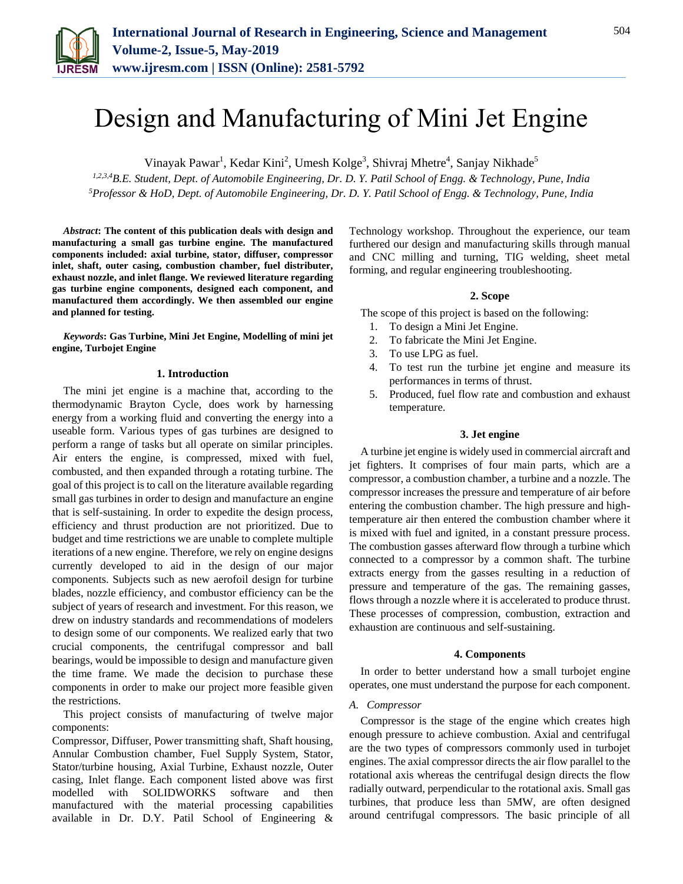

# Design and Manufacturing of Mini Jet Engine

Vinayak Pawar<sup>1</sup>, Kedar Kini<sup>2</sup>, Umesh Kolge<sup>3</sup>, Shivraj Mhetre<sup>4</sup>, Sanjay Nikhade<sup>5</sup>

*1,2,3,4B.E. Student, Dept. of Automobile Engineering, Dr. D. Y. Patil School of Engg. & Technology, Pune, India 5Professor & HoD, Dept. of Automobile Engineering, Dr. D. Y. Patil School of Engg. & Technology, Pune, India*

*Abstract***: The content of this publication deals with design and manufacturing a small gas turbine engine. The manufactured components included: axial turbine, stator, diffuser, compressor inlet, shaft, outer casing, combustion chamber, fuel distributer, exhaust nozzle, and inlet flange. We reviewed literature regarding gas turbine engine components, designed each component, and manufactured them accordingly. We then assembled our engine and planned for testing.**

*Keywords***: Gas Turbine, Mini Jet Engine, Modelling of mini jet engine, Turbojet Engine**

#### **1. Introduction**

The mini jet engine is a machine that, according to the thermodynamic Brayton Cycle, does work by harnessing energy from a working fluid and converting the energy into a useable form. Various types of gas turbines are designed to perform a range of tasks but all operate on similar principles. Air enters the engine, is compressed, mixed with fuel, combusted, and then expanded through a rotating turbine. The goal of this project is to call on the literature available regarding small gas turbines in order to design and manufacture an engine that is self-sustaining. In order to expedite the design process, efficiency and thrust production are not prioritized. Due to budget and time restrictions we are unable to complete multiple iterations of a new engine. Therefore, we rely on engine designs currently developed to aid in the design of our major components. Subjects such as new aerofoil design for turbine blades, nozzle efficiency, and combustor efficiency can be the subject of years of research and investment. For this reason, we drew on industry standards and recommendations of modelers to design some of our components. We realized early that two crucial components, the centrifugal compressor and ball bearings, would be impossible to design and manufacture given the time frame. We made the decision to purchase these components in order to make our project more feasible given the restrictions.

This project consists of manufacturing of twelve major components:

Compressor, Diffuser, Power transmitting shaft, Shaft housing, Annular Combustion chamber, Fuel Supply System, Stator, Stator/turbine housing, Axial Turbine, Exhaust nozzle, Outer casing, Inlet flange. Each component listed above was first modelled with SOLIDWORKS software and then manufactured with the material processing capabilities available in Dr. D.Y. Patil School of Engineering &

Technology workshop. Throughout the experience, our team furthered our design and manufacturing skills through manual and CNC milling and turning, TIG welding, sheet metal forming, and regular engineering troubleshooting.

#### **2. Scope**

The scope of this project is based on the following:

- 1. To design a Mini Jet Engine.
- 2. To fabricate the Mini Jet Engine.
- 3. To use LPG as fuel.
- 4. To test run the turbine jet engine and measure its performances in terms of thrust.
- 5. Produced, fuel flow rate and combustion and exhaust temperature.

#### **3. Jet engine**

A turbine jet engine is widely used in commercial aircraft and jet fighters. It comprises of four main parts, which are a compressor, a combustion chamber, a turbine and a nozzle. The compressor increases the pressure and temperature of air before entering the combustion chamber. The high pressure and hightemperature air then entered the combustion chamber where it is mixed with fuel and ignited, in a constant pressure process. The combustion gasses afterward flow through a turbine which connected to a compressor by a common shaft. The turbine extracts energy from the gasses resulting in a reduction of pressure and temperature of the gas. The remaining gasses, flows through a nozzle where it is accelerated to produce thrust. These processes of compression, combustion, extraction and exhaustion are continuous and self-sustaining.

#### **4. Components**

In order to better understand how a small turbojet engine operates, one must understand the purpose for each component.

#### *A. Compressor*

Compressor is the stage of the engine which creates high enough pressure to achieve combustion. Axial and centrifugal are the two types of compressors commonly used in turbojet engines. The axial compressor directs the air flow parallel to the rotational axis whereas the centrifugal design directs the flow radially outward, perpendicular to the rotational axis. Small gas turbines, that produce less than 5MW, are often designed around centrifugal compressors. The basic principle of all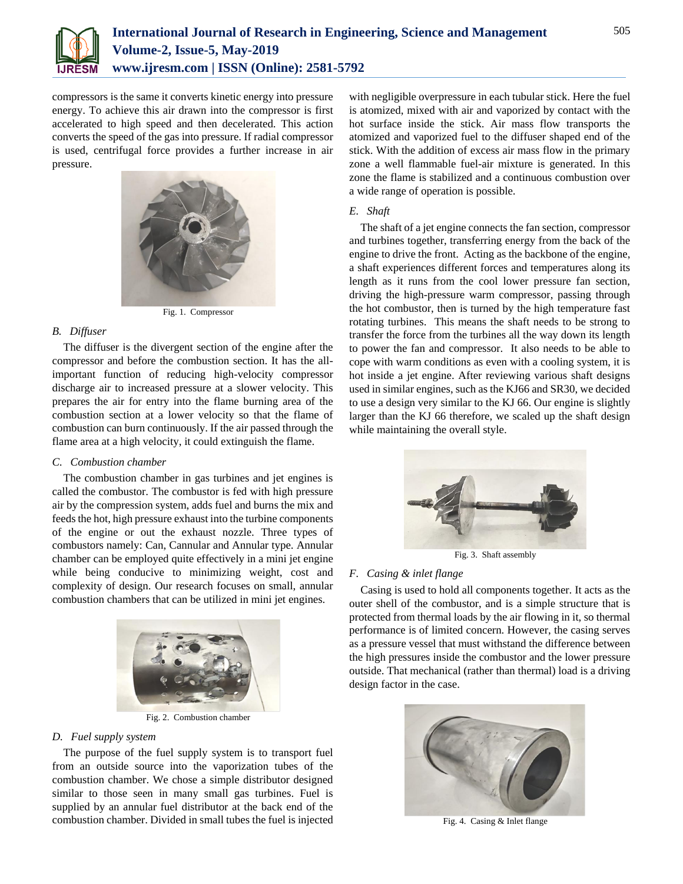

compressors is the same it converts kinetic energy into pressure energy. To achieve this air drawn into the compressor is first accelerated to high speed and then decelerated. This action converts the speed of the gas into pressure. If radial compressor is used, centrifugal force provides a further increase in air pressure.



Fig. 1. Compressor

# *B. Diffuser*

The diffuser is the divergent section of the engine after the compressor and before the combustion section. It has the allimportant function of reducing high-velocity compressor discharge air to increased pressure at a slower velocity. This prepares the air for entry into the flame burning area of the combustion section at a lower velocity so that the flame of combustion can burn continuously. If the air passed through the flame area at a high velocity, it could extinguish the flame.

# *C. Combustion chamber*

The combustion chamber in gas turbines and jet engines is called the combustor. The combustor is fed with high pressure air by the compression system, adds fuel and burns the mix and feeds the hot, high pressure exhaust into the turbine components of the engine or out the exhaust nozzle. Three types of combustors namely: Can, Cannular and Annular type. Annular chamber can be employed quite effectively in a mini jet engine while being conducive to minimizing weight, cost and complexity of design. Our research focuses on small, annular combustion chambers that can be utilized in mini jet engines.



Fig. 2. Combustion chamber

# *D. Fuel supply system*

The purpose of the fuel supply system is to transport fuel from an outside source into the vaporization tubes of the combustion chamber. We chose a simple distributor designed similar to those seen in many small gas turbines. Fuel is supplied by an annular fuel distributor at the back end of the combustion chamber. Divided in small tubes the fuel is injected with negligible overpressure in each tubular stick. Here the fuel is atomized, mixed with air and vaporized by contact with the hot surface inside the stick. Air mass flow transports the atomized and vaporized fuel to the diffuser shaped end of the stick. With the addition of excess air mass flow in the primary zone a well flammable fuel-air mixture is generated. In this zone the flame is stabilized and a continuous combustion over a wide range of operation is possible.

# *E. Shaft*

The shaft of a jet engine connects the fan section, compressor and turbines together, transferring energy from the back of the engine to drive the front. Acting as the backbone of the engine, a shaft experiences different forces and temperatures along its length as it runs from the cool lower pressure fan section, driving the high-pressure warm compressor, passing through the hot combustor, then is turned by the high temperature fast rotating turbines. This means the shaft needs to be strong to transfer the force from the turbines all the way down its length to power the fan and compressor. It also needs to be able to cope with warm conditions as even with a cooling system, it is hot inside a jet engine. After reviewing various shaft designs used in similar engines, such as the KJ66 and SR30, we decided to use a design very similar to the KJ 66. Our engine is slightly larger than the KJ 66 therefore, we scaled up the shaft design while maintaining the overall style.



Fig. 3. Shaft assembly

# *F. Casing & inlet flange*

Casing is used to hold all components together. It acts as the outer shell of the combustor, and is a simple structure that is protected from thermal loads by the air flowing in it, so thermal performance is of limited concern. However, the casing serves as a pressure vessel that must withstand the difference between the high pressures inside the combustor and the lower pressure outside. That mechanical (rather than thermal) load is a driving design factor in the case.



Fig. 4. Casing & Inlet flange